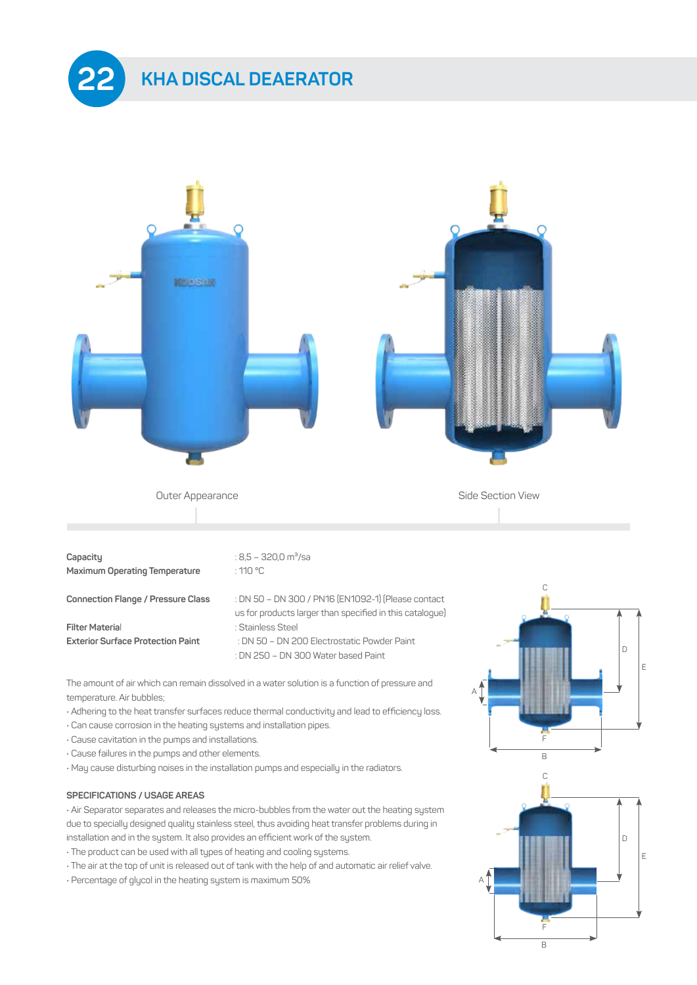



The amount of air which can remain dissolved in a water solution is a function of pressure and temperature. Air bubbles;

• Adhering to the heat transfer surfaces reduce thermal conductivity and lead to efficiency loss.

: DN 250 – DN 300 Water based Paint

- Can cause corrosion in the heating systems and installation pipes.
- Cause cavitation in the pumps and installations.
- Cause failures in the pumps and other elements.
- May cause disturbing noises in the installation pumps and especially in the radiators.

## **SPECIFICATIONS / USAGE AREAS**

• Air Separator separates and releases the micro-bubbles from the water out the heating system due to specially designed quality stainless steel, thus avoiding heat transfer problems during in installation and in the system. It also provides an efficient work of the system.

- The product can be used with all types of heating and cooling systems.
- The air at the top of unit is released out of tank with the help of and automatic air relief valve.
- Percentage of glycol in the heating system is maximum 50%